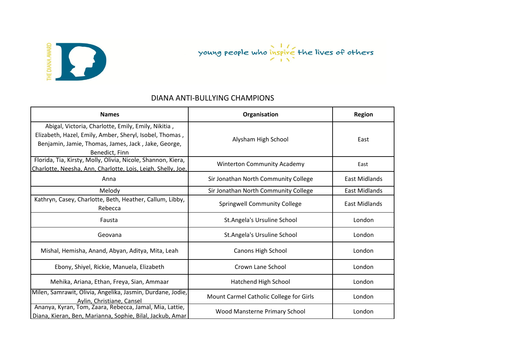

### DIANA ANTI-BULLYING CHAMPIONS

| <b>Names</b>                                                                                                                                                                            | Organisation                            | Region               |
|-----------------------------------------------------------------------------------------------------------------------------------------------------------------------------------------|-----------------------------------------|----------------------|
| Abigal, Victoria, Charlotte, Emily, Emily, Nikitia,<br>Elizabeth, Hazel, Emily, Amber, Sheryl, Isobel, Thomas,<br>Benjamin, Jamie, Thomas, James, Jack, Jake, George,<br>Benedict, Finn | Alysham High School                     | East                 |
| Florida, Tia, Kirsty, Molly, Olivia, Nicole, Shannon, Kiera,<br>Charlotte, Neesha, Ann, Charlotte, Lois, Leigh, Shelly, Joe,                                                            | <b>Winterton Community Academy</b>      | East                 |
| Anna                                                                                                                                                                                    | Sir Jonathan North Community College    | East Midlands        |
| Melody                                                                                                                                                                                  | Sir Jonathan North Community College    | <b>East Midlands</b> |
| Kathryn, Casey, Charlotte, Beth, Heather, Callum, Libby,<br>Rebecca                                                                                                                     | <b>Springwell Community College</b>     | <b>East Midlands</b> |
| Fausta                                                                                                                                                                                  | St.Angela's Ursuline School             | London               |
| Geovana                                                                                                                                                                                 | St.Angela's Ursuline School             | London               |
| Mishal, Hemisha, Anand, Abyan, Aditya, Mita, Leah                                                                                                                                       | Canons High School                      | London               |
| Ebony, Shiyel, Rickie, Manuela, Elizabeth                                                                                                                                               | Crown Lane School                       | London               |
| Mehika, Ariana, Ethan, Freya, Sian, Ammaar                                                                                                                                              | Hatchend High School                    | London               |
| Milen, Samrawit, Olivia, Angelika, Jasmin, Durdane, Jodie,<br>Aylin, Christiane, Cansel                                                                                                 | Mount Carmel Catholic College for Girls | London               |
| Ananya, Kyran, Tom, Zaara, Rebecca, Jamal, Mia, Lattie,<br>Diana, Kieran, Ben, Marianna, Sophie, Bilal, Jackub, Amar                                                                    | Wood Mansterne Primary School           | London               |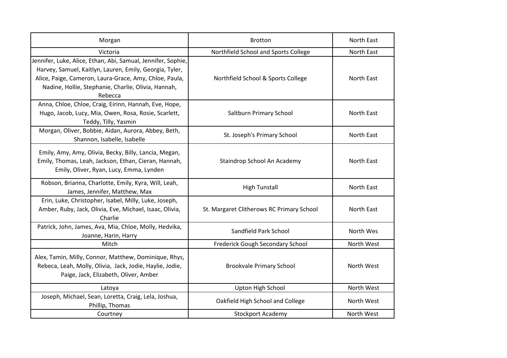| Morgan                                                                                                                                                                                                                                              | <b>Brotton</b>                            | North East |
|-----------------------------------------------------------------------------------------------------------------------------------------------------------------------------------------------------------------------------------------------------|-------------------------------------------|------------|
| Victoria                                                                                                                                                                                                                                            | Northfield School and Sports College      | North East |
| Jennifer, Luke, Alice, Ethan, Abi, Samual, Jennifer, Sophie,<br>Harvey, Samuel, Kaitlyn, Lauren, Emily, Georgia, Tyler,<br>Alice, Paige, Cameron, Laura-Grace, Amy, Chloe, Paula,<br>Nadine, Hollie, Stephanie, Charlie, Olivia, Hannah,<br>Rebecca | Northfield School & Sports College        | North East |
| Anna, Chloe, Chloe, Craig, Eirinn, Hannah, Eve, Hope,<br>Hugo, Jacob, Lucy, Mia, Owen, Rosa, Rosie, Scarlett,<br>Teddy, Tilly, Yasmin                                                                                                               | Saltburn Primary School                   | North East |
| Morgan, Oliver, Bobbie, Aidan, Aurora, Abbey, Beth,<br>Shannon, Isabelle, Isabelle                                                                                                                                                                  | St. Joseph's Primary School               | North East |
| Emily, Amy, Amy, Olivia, Becky, Billy, Lancia, Megan,<br>Emily, Thomas, Leah, Jackson, Ethan, Cieran, Hannah,<br>Emily, Oliver, Ryan, Lucy, Emma, Lynden                                                                                            | Staindrop School An Academy               | North East |
| Robson, Brianna, Charlotte, Emily, Kyra, Will, Leah,<br>James, Jennifer, Matthew, Max                                                                                                                                                               | <b>High Tunstall</b>                      | North East |
| Erin, Luke, Christopher, Isabel, Milly, Luke, Joseph,<br>Amber, Ruby, Jack, Olivia, Eve, Michael, Isaac, Olivia,<br>Charlie                                                                                                                         | St. Margaret Clitherows RC Primary School | North East |
| Patrick, John, James, Ava, Mia, Chloe, Molly, Hedvika,<br>Joanne, Harin, Harry                                                                                                                                                                      | Sandfield Park School                     | North Wes  |
| Mitch                                                                                                                                                                                                                                               | Frederick Gough Secondary School          | North West |
| Alex, Tamin, Milly, Connor, Matthew, Dominique, Rhys,<br>Rebeca, Leah, Molly, Olivia, Jack, Jodie, Haylie, Jodie,<br>Paige, Jack, Elizabeth, Oliver, Amber                                                                                          | <b>Brookvale Primary School</b>           | North West |
| Latoya                                                                                                                                                                                                                                              | Upton High School                         | North West |
| Joseph, Michael, Sean, Loretta, Craig, Lela, Joshua,<br>Phillip, Thomas                                                                                                                                                                             | Oakfield High School and College          | North West |
| Courtney                                                                                                                                                                                                                                            | <b>Stockport Academy</b>                  | North West |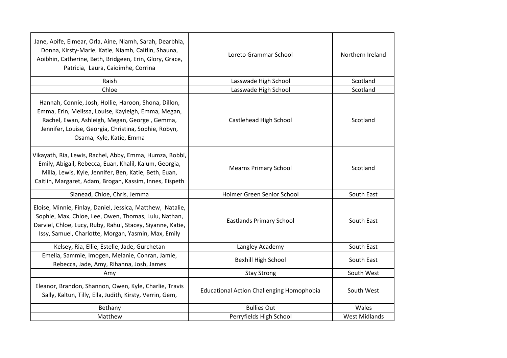| Jane, Aoife, Eimear, Orla, Aine, Niamh, Sarah, Dearbhla,<br>Donna, Kirsty-Marie, Katie, Niamh, Caitlin, Shauna,<br>Aoibhin, Catherine, Beth, Bridgeen, Erin, Glory, Grace,<br>Patricia, Laura, Caioimhe, Corrina                                 | Loreto Grammar School                            | Northern Ireland     |
|--------------------------------------------------------------------------------------------------------------------------------------------------------------------------------------------------------------------------------------------------|--------------------------------------------------|----------------------|
| Raish                                                                                                                                                                                                                                            | Lasswade High School                             | Scotland             |
| Chloe                                                                                                                                                                                                                                            | Lasswade High School                             | Scotland             |
| Hannah, Connie, Josh, Hollie, Haroon, Shona, Dillon,<br>Emma, Erin, Melissa, Louise, Kayleigh, Emma, Megan,<br>Rachel, Ewan, Ashleigh, Megan, George, Gemma,<br>Jennifer, Louise, Georgia, Christina, Sophie, Robyn,<br>Osama, Kyle, Katie, Emma | Castlehead High School                           | Scotland             |
| Vikayath, Ria, Lewis, Rachel, Abby, Emma, Humza, Bobbi,<br>Emily, Abigail, Rebecca, Euan, Khalil, Kalum, Georgia,<br>Milla, Lewis, Kyle, Jennifer, Ben, Katie, Beth, Euan,<br>Caitlin, Margaret, Adam, Brogan, Kassim, Innes, Eispeth            | <b>Mearns Primary School</b>                     | Scotland             |
| Sianead, Chloe, Chris, Jemma                                                                                                                                                                                                                     | Holmer Green Senior School                       | South East           |
| Eloise, Minnie, Finlay, Daniel, Jessica, Matthew, Natalie,<br>Sophie, Max, Chloe, Lee, Owen, Thomas, Lulu, Nathan,<br>Darviel, Chloe, Lucy, Ruby, Rahul, Stacey, Siyanne, Katie,<br>Issy, Samuel, Charlotte, Morgan, Yasmin, Max, Emily          | <b>Eastlands Primary School</b>                  | South East           |
| Kelsey, Ria, Ellie, Estelle, Jade, Gurchetan                                                                                                                                                                                                     | Langley Academy                                  | South East           |
| Emelia, Sammie, Imogen, Melanie, Conran, Jamie,<br>Rebecca, Jade, Amy, Rihanna, Josh, James                                                                                                                                                      | <b>Bexhill High School</b>                       | South East           |
| Amy                                                                                                                                                                                                                                              | <b>Stay Strong</b>                               | South West           |
| Eleanor, Brandon, Shannon, Owen, Kyle, Charlie, Travis<br>Sally, Kaltun, Tilly, Ella, Judith, Kirsty, Verrin, Gem,                                                                                                                               | <b>Educational Action Challenging Homophobia</b> | South West           |
| Bethany                                                                                                                                                                                                                                          | <b>Bullies Out</b>                               | Wales                |
| Matthew                                                                                                                                                                                                                                          | Perryfields High School                          | <b>West Midlands</b> |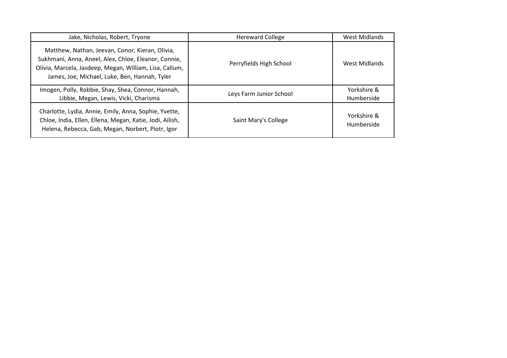| Jake, Nicholas, Robert, Tryone                                                                                                                                                                                      | <b>Hereward College</b> | West Midlands             |
|---------------------------------------------------------------------------------------------------------------------------------------------------------------------------------------------------------------------|-------------------------|---------------------------|
| Matthew, Nathan, Jeevan, Conor, Kieran, Olivia,<br>Sukhmani, Anna, Aneel, Alex, Chloe, Eleanor, Connie,<br>Olivia, Marcela, Jasdeep, Megan, William, Lisa, Callum,<br>James, Joe, Michael, Luke, Ben, Hannah, Tyler | Perryfields High School | West Midlands             |
| Imogen, Polly, Robbie, Shay, Shea, Connor, Hannah,<br>Libbie, Megan, Lewis, Vicki, Charisma                                                                                                                         | Leys Farm Junior School | Yorkshire &<br>Humberside |
| Charlotte, Lydia, Annie, Emily, Anna, Sophie, Yvette,<br>Chloe, India, Ellen, Ellena, Megan, Katie, Jodi, Ailish,<br>Helena, Rebecca, Gab, Megan, Norbert, Piotr, Igor                                              | Saint Mary's College    | Yorkshire &<br>Humberside |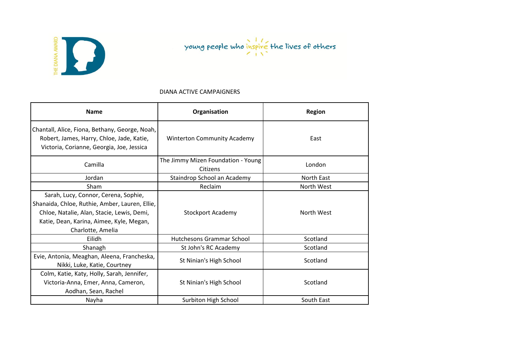

#### DIANA ACTIVE CAMPAIGNERS

| <b>Name</b>                                                                                                                                                                                           | Organisation                                   | <b>Region</b> |
|-------------------------------------------------------------------------------------------------------------------------------------------------------------------------------------------------------|------------------------------------------------|---------------|
| Chantall, Alice, Fiona, Bethany, George, Noah,<br>Robert, James, Harry, Chloe, Jade, Katie,<br>Victoria, Corianne, Georgia, Joe, Jessica                                                              | <b>Winterton Community Academy</b>             | East          |
| Camilla                                                                                                                                                                                               | The Jimmy Mizen Foundation - Young<br>Citizens | London        |
| Jordan                                                                                                                                                                                                | Staindrop School an Academy                    | North East    |
| Sham                                                                                                                                                                                                  | Reclaim                                        | North West    |
| Sarah, Lucy, Connor, Cerena, Sophie,<br>Shanaida, Chloe, Ruthie, Amber, Lauren, Ellie,<br>Chloe, Natalie, Alan, Stacie, Lewis, Demi,<br>Katie, Dean, Karina, Aimee, Kyle, Megan,<br>Charlotte, Amelia | <b>Stockport Academy</b>                       | North West    |
| Eilidh                                                                                                                                                                                                | Hutchesons Grammar School                      | Scotland      |
| Shanagh                                                                                                                                                                                               | St John's RC Academy                           | Scotland      |
| Evie, Antonia, Meaghan, Aleena, Francheska,<br>Nikki, Luke, Katie, Courtney                                                                                                                           | St Ninian's High School                        | Scotland      |
| Colm, Katie, Katy, Holly, Sarah, Jennifer,<br>Victoria-Anna, Emer, Anna, Cameron,<br>Aodhan, Sean, Rachel                                                                                             | St Ninian's High School                        | Scotland      |
| Nayha                                                                                                                                                                                                 | Surbiton High School                           | South East    |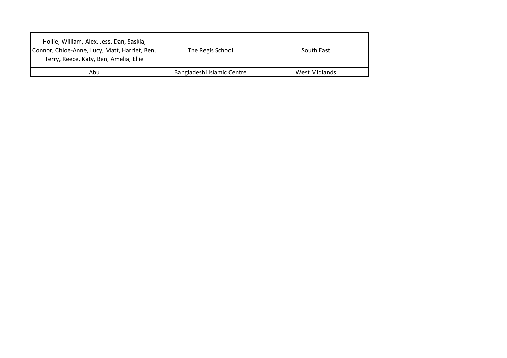| Hollie, William, Alex, Jess, Dan, Saskia,<br>Connor, Chloe-Anne, Lucy, Matt, Harriet, Ben,<br>Terry, Reece, Katy, Ben, Amelia, Ellie | The Regis School           | South East    |
|--------------------------------------------------------------------------------------------------------------------------------------|----------------------------|---------------|
| Abu                                                                                                                                  | Bangladeshi Islamic Centre | West Midlands |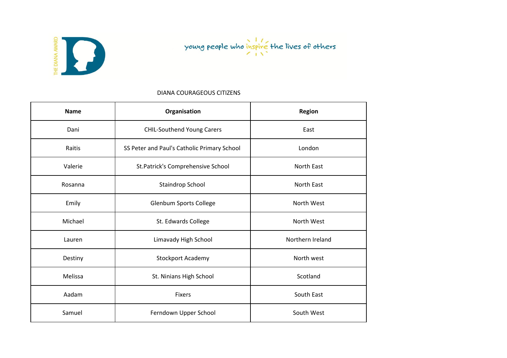

#### DIANA COURAGEOUS CITIZENS

| <b>Name</b> | Organisation                                | <b>Region</b>    |
|-------------|---------------------------------------------|------------------|
| Dani        | <b>CHIL-Southend Young Carers</b>           | East             |
| Raitis      | SS Peter and Paul's Catholic Primary School | London           |
| Valerie     | St.Patrick's Comprehensive School           | North East       |
| Rosanna     | Staindrop School                            | North East       |
| Emily       | <b>Glenbum Sports College</b>               | North West       |
| Michael     | St. Edwards College                         | North West       |
| Lauren      | Limavady High School                        | Northern Ireland |
| Destiny     | Stockport Academy                           | North west       |
| Melissa     | St. Ninians High School                     | Scotland         |
| Aadam       | <b>Fixers</b>                               | South East       |
| Samuel      | Ferndown Upper School                       | South West       |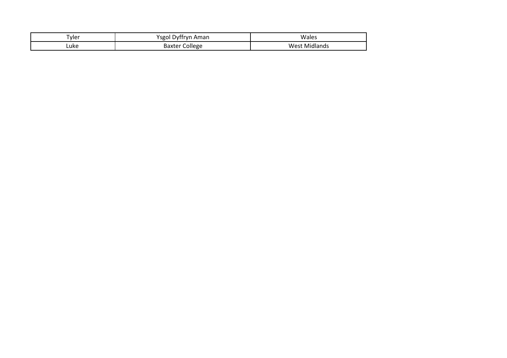| -<br>l vler | Aman<br>$V$ SEOI L<br>. Dvffrvr | Wales                        |
|-------------|---------------------------------|------------------------------|
| Luke        | College<br>Baxter               | Midlands<br>.<br><b>WVL.</b> |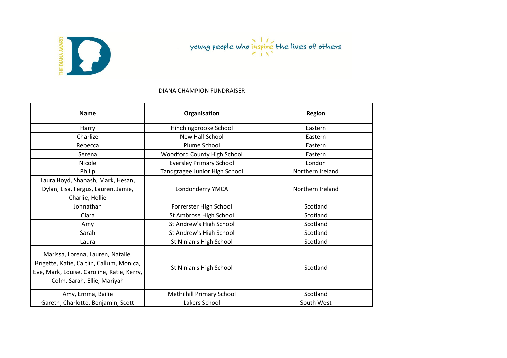



#### DIANA CHAMPION FUNDRAISER

| <b>Name</b>                                                                                                                                                 | Organisation                     | Region           |
|-------------------------------------------------------------------------------------------------------------------------------------------------------------|----------------------------------|------------------|
| Harry                                                                                                                                                       | Hinchingbrooke School            | Eastern          |
| Charlize                                                                                                                                                    | New Hall School                  | Eastern          |
| Rebecca                                                                                                                                                     | Plume School                     | Eastern          |
| Serena                                                                                                                                                      | Woodford County High School      | Eastern          |
| Nicole                                                                                                                                                      | <b>Eversley Primary School</b>   | London           |
| Philip                                                                                                                                                      | Tandgragee Junior High School    | Northern Ireland |
| Laura Boyd, Shanash, Mark, Hesan,<br>Dylan, Lisa, Fergus, Lauren, Jamie,<br>Charlie, Hollie                                                                 | Londonderry YMCA                 | Northern Ireland |
| Johnathan                                                                                                                                                   | Forrerster High School           | Scotland         |
| Ciara                                                                                                                                                       | St Ambrose High School           | Scotland         |
| Amy                                                                                                                                                         | St Andrew's High School          | Scotland         |
| Sarah                                                                                                                                                       | St Andrew's High School          | Scotland         |
| Laura                                                                                                                                                       | St Ninian's High School          | Scotland         |
| Marissa, Lorena, Lauren, Natalie,<br>Brigette, Katie, Caitlin, Callum, Monica,<br>Eve, Mark, Louise, Caroline, Katie, Kerry,<br>Colm, Sarah, Ellie, Mariyah | St Ninian's High School          | Scotland         |
| Amy, Emma, Bailie                                                                                                                                           | <b>Methilhill Primary School</b> | Scotland         |
| Gareth, Charlotte, Benjamin, Scott                                                                                                                          | Lakers School                    | South West       |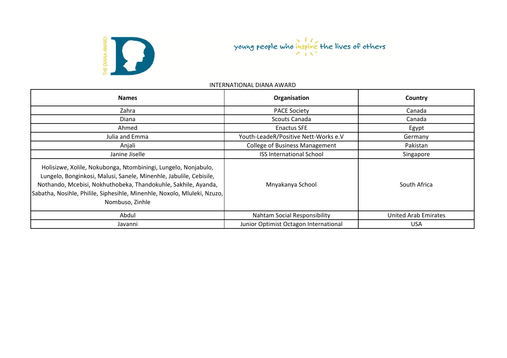

| <b>Names</b>                                                                                                                                                                                                                                                                                          | Organisation                          | Country                     |
|-------------------------------------------------------------------------------------------------------------------------------------------------------------------------------------------------------------------------------------------------------------------------------------------------------|---------------------------------------|-----------------------------|
| Zahra                                                                                                                                                                                                                                                                                                 | <b>PACE Society</b>                   | Canada                      |
| Diana                                                                                                                                                                                                                                                                                                 | Scouts Canada                         | Canada                      |
| Ahmed                                                                                                                                                                                                                                                                                                 | <b>Enactus SFE</b>                    | Egypt                       |
| Julia and Emma                                                                                                                                                                                                                                                                                        | Youth-LeadeR/Positive Nett-Works e.V  | Germany                     |
| Anjali                                                                                                                                                                                                                                                                                                | <b>College of Business Management</b> | Pakistan                    |
| Janine Jiselle                                                                                                                                                                                                                                                                                        | <b>ISS International School</b>       | Singapore                   |
| Holisizwe, Xolile, Nokubonga, Ntombiningi, Lungelo, Nonjabulo,<br>Lungelo, Bonginkosi, Malusi, Sanele, Minenhle, Jabulile, Cebisile,<br>Nothando, Mcebisi, Nokhuthobeka, Thandokuhle, Sakhile, Ayanda,<br>Sabatha, Nosihle, Philile, Siphesihle, Minenhle, Noxolo, Mluleki, Nzuzo,<br>Nombuso, Zinhle | Mnyakanya School                      | South Africa                |
| Abdul                                                                                                                                                                                                                                                                                                 | Nahtam Social Responsibility          | <b>United Arab Emirates</b> |
| Javanni                                                                                                                                                                                                                                                                                               | Junior Optimist Octagon International | <b>USA</b>                  |

#### INTERNATIONAL DIANA AWARD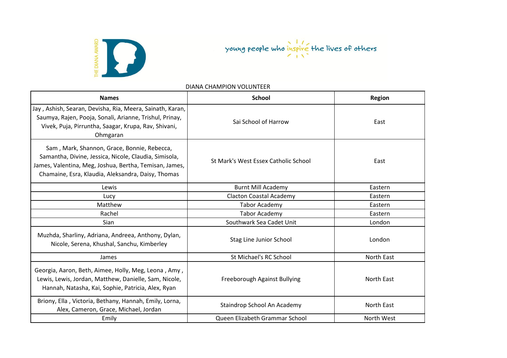

DIANA CHAMPION VOLUNTEER

| <b>Names</b>                                                                                                                                                                                                         | <b>School</b>                        | <b>Region</b> |
|----------------------------------------------------------------------------------------------------------------------------------------------------------------------------------------------------------------------|--------------------------------------|---------------|
| Jay, Ashish, Searan, Devisha, Ria, Meera, Sainath, Karan,<br>Saumya, Rajen, Pooja, Sonali, Arianne, Trishul, Prinay,<br>Vivek, Puja, Pirruntha, Saagar, Krupa, Rav, Shivani,<br>Ohmgaran                             | Sai School of Harrow                 | East          |
| Sam, Mark, Shannon, Grace, Bonnie, Rebecca,<br>Samantha, Divine, Jessica, Nicole, Claudia, Simisola,<br>James, Valentina, Meg, Joshua, Bertha, Temisan, James,<br>Chamaine, Esra, Klaudia, Aleksandra, Daisy, Thomas | St Mark's West Essex Catholic School | East          |
| Lewis                                                                                                                                                                                                                | <b>Burnt Mill Academy</b>            | Eastern       |
| Lucy                                                                                                                                                                                                                 | <b>Clacton Coastal Academy</b>       | Eastern       |
| Matthew                                                                                                                                                                                                              | <b>Tabor Academy</b>                 | Eastern       |
| Rachel                                                                                                                                                                                                               | <b>Tabor Academy</b>                 | Eastern       |
| Sian                                                                                                                                                                                                                 | Southwark Sea Cadet Unit             | London        |
| Muzhda, Sharliny, Adriana, Andreea, Anthony, Dylan,<br>Nicole, Serena, Khushal, Sanchu, Kimberley                                                                                                                    | Stag Line Junior School              | London        |
| James                                                                                                                                                                                                                | St Michael's RC School               | North East    |
| Georgia, Aaron, Beth, Aimee, Holly, Meg, Leona, Amy,<br>Lewis, Lewis, Jordan, Matthew, Danielle, Sam, Nicole,<br>Hannah, Natasha, Kai, Sophie, Patricia, Alex, Ryan                                                  | Freeborough Against Bullying         | North East    |
| Briony, Ella, Victoria, Bethany, Hannah, Emily, Lorna,<br>Alex, Cameron, Grace, Michael, Jordan                                                                                                                      | Staindrop School An Academy          | North East    |
| Emily                                                                                                                                                                                                                | Queen Elizabeth Grammar School       | North West    |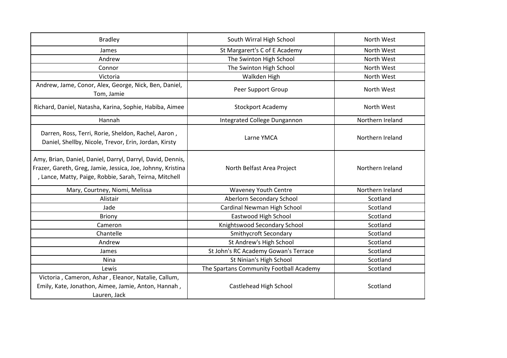| <b>Bradley</b>                                                                                                                                                                      | South Wirral High School                | North West       |
|-------------------------------------------------------------------------------------------------------------------------------------------------------------------------------------|-----------------------------------------|------------------|
| James                                                                                                                                                                               | St Margarert's C of E Academy           | North West       |
| Andrew                                                                                                                                                                              | The Swinton High School                 | North West       |
| Connor                                                                                                                                                                              | The Swinton High School                 | North West       |
| Victoria                                                                                                                                                                            | Walkden High                            | North West       |
| Andrew, Jame, Conor, Alex, George, Nick, Ben, Daniel,<br>Tom, Jamie                                                                                                                 | Peer Support Group                      | North West       |
| Richard, Daniel, Natasha, Karina, Sophie, Habiba, Aimee                                                                                                                             | <b>Stockport Academy</b>                | North West       |
| Hannah                                                                                                                                                                              | Integrated College Dungannon            | Northern Ireland |
| Darren, Ross, Terri, Rorie, Sheldon, Rachel, Aaron,<br>Daniel, Shellby, Nicole, Trevor, Erin, Jordan, Kirsty                                                                        | Larne YMCA                              | Northern Ireland |
| Amy, Brian, Daniel, Daniel, Darryl, Darryl, David, Dennis,<br>Frazer, Gareth, Greg, Jamie, Jessica, Joe, Johnny, Kristina<br>, Lance, Matty, Paige, Robbie, Sarah, Teirna, Mitchell | North Belfast Area Project              | Northern Ireland |
| Mary, Courtney, Niomi, Melissa                                                                                                                                                      | <b>Waveney Youth Centre</b>             | Northern Ireland |
| Alistair                                                                                                                                                                            | Aberlorn Secondary School               | Scotland         |
| Jade                                                                                                                                                                                | Cardinal Newman High School             | Scotland         |
| <b>Briony</b>                                                                                                                                                                       | Eastwood High School                    | Scotland         |
| Cameron                                                                                                                                                                             | Knightswood Secondary School            | Scotland         |
| Chantelle                                                                                                                                                                           | <b>Smithycroft Secondary</b>            | Scotland         |
| Andrew                                                                                                                                                                              | St Andrew's High School                 | Scotland         |
| James                                                                                                                                                                               | St John's RC Academy Gowan's Terrace    | Scotland         |
| Nina                                                                                                                                                                                | St Ninian's High School                 | Scotland         |
| Lewis                                                                                                                                                                               | The Spartans Community Football Academy | Scotland         |
| Victoria, Cameron, Ashar, Eleanor, Natalie, Callum,<br>Emily, Kate, Jonathon, Aimee, Jamie, Anton, Hannah,<br>Lauren, Jack                                                          | Castlehead High School                  | Scotland         |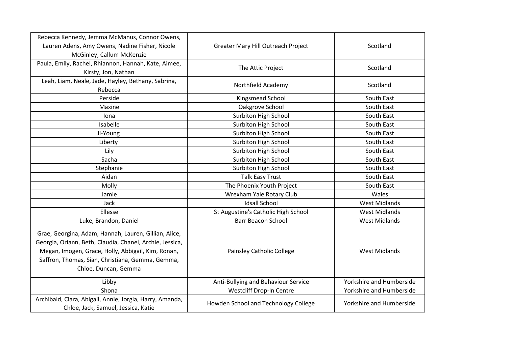| Rebecca Kennedy, Jemma McManus, Connor Owens,<br>Lauren Adens, Amy Owens, Nadine Fisher, Nicole<br>McGinley, Callum McKenzie                                                                                                                        | Greater Mary Hill Outreach Project   | Scotland                 |
|-----------------------------------------------------------------------------------------------------------------------------------------------------------------------------------------------------------------------------------------------------|--------------------------------------|--------------------------|
| Paula, Emily, Rachel, Rhiannon, Hannah, Kate, Aimee,<br>Kirsty, Jon, Nathan                                                                                                                                                                         | The Attic Project                    | Scotland                 |
| Leah, Liam, Neale, Jade, Hayley, Bethany, Sabrina,<br>Rebecca                                                                                                                                                                                       | Northfield Academy                   | Scotland                 |
| Perside                                                                                                                                                                                                                                             | Kingsmead School                     | South East               |
| Maxine                                                                                                                                                                                                                                              | Oakgrove School                      | South East               |
| Iona                                                                                                                                                                                                                                                | Surbiton High School                 | South East               |
| Isabelle                                                                                                                                                                                                                                            | <b>Surbiton High School</b>          | South East               |
| Ji-Young                                                                                                                                                                                                                                            | Surbiton High School                 | South East               |
| Liberty                                                                                                                                                                                                                                             | Surbiton High School                 | South East               |
| Lily                                                                                                                                                                                                                                                | Surbiton High School                 | South East               |
| Sacha                                                                                                                                                                                                                                               | Surbiton High School                 | South East               |
| Stephanie                                                                                                                                                                                                                                           | Surbiton High School                 | South East               |
| Aidan                                                                                                                                                                                                                                               | <b>Talk Easy Trust</b>               | South East               |
| Molly                                                                                                                                                                                                                                               | The Phoenix Youth Project            | South East               |
| Jamie                                                                                                                                                                                                                                               | Wrexham Yale Rotary Club             | Wales                    |
| Jack                                                                                                                                                                                                                                                | <b>Idsall School</b>                 | <b>West Midlands</b>     |
| Ellesse                                                                                                                                                                                                                                             | St Augustine's Catholic High School  | <b>West Midlands</b>     |
| Luke, Brandon, Daniel                                                                                                                                                                                                                               | <b>Barr Beacon School</b>            | <b>West Midlands</b>     |
| Grae, Georgina, Adam, Hannah, Lauren, Gillian, Alice,<br>Georgia, Oriann, Beth, Claudia, Chanel, Archie, Jessica,<br>Megan, Imogen, Grace, Holly, Abbigail, Kim, Ronan,<br>Saffron, Thomas, Sian, Christiana, Gemma, Gemma,<br>Chloe, Duncan, Gemma | <b>Painsley Catholic College</b>     | <b>West Midlands</b>     |
| Libby                                                                                                                                                                                                                                               | Anti-Bullying and Behaviour Service  | Yorkshire and Humberside |
| Shona                                                                                                                                                                                                                                               | Westcliff Drop-In Centre             | Yorkshire and Humberside |
| Archibald, Ciara, Abigail, Annie, Jorgia, Harry, Amanda,<br>Chloe, Jack, Samuel, Jessica, Katie                                                                                                                                                     | Howden School and Technology College | Yorkshire and Humberside |